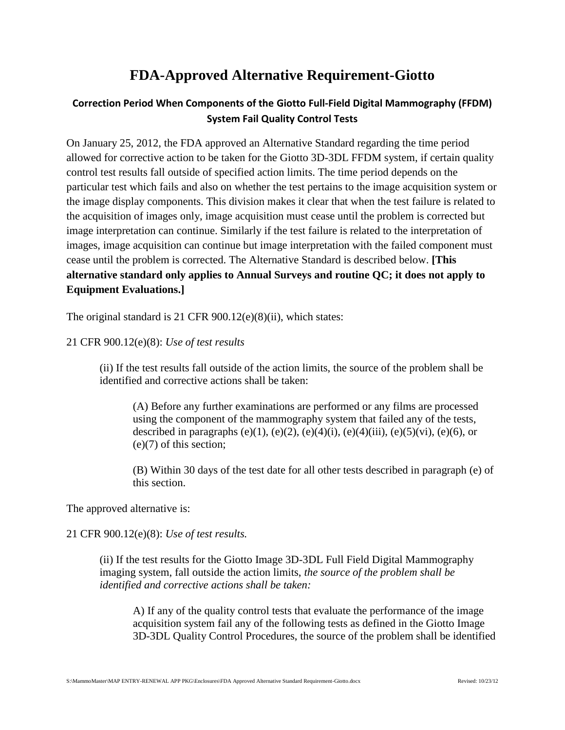## **FDA-Approved Alternative Requirement-Giotto**

## **Correction Period When Components of the Giotto Full-Field Digital Mammography (FFDM) System Fail Quality Control Tests**

On January 25, 2012, the FDA approved an Alternative Standard regarding the time period allowed for corrective action to be taken for the Giotto 3D-3DL FFDM system, if certain quality control test results fall outside of specified action limits. The time period depends on the particular test which fails and also on whether the test pertains to the image acquisition system or the image display components. This division makes it clear that when the test failure is related to the acquisition of images only, image acquisition must cease until the problem is corrected but image interpretation can continue. Similarly if the test failure is related to the interpretation of images, image acquisition can continue but image interpretation with the failed component must cease until the problem is corrected. The Alternative Standard is described below. **[This alternative standard only applies to Annual Surveys and routine QC; it does not apply to Equipment Evaluations.]**

The original standard is 21 CFR 900.12(e)(8)(ii), which states:

## 21 CFR 900.12(e)(8): *Use of test results*

(ii) If the test results fall outside of the action limits, the source of the problem shall be identified and corrective actions shall be taken:

(A) Before any further examinations are performed or any films are processed using the component of the mammography system that failed any of the tests, described in paragraphs (e)(1), (e)(2), (e)(4)(i), (e)(4)(iii), (e)(5)(vi), (e)(6), or (e)(7) of this section;

(B) Within 30 days of the test date for all other tests described in paragraph (e) of this section.

The approved alternative is:

## 21 CFR 900.12(e)(8): *Use of test results.*

(ii) If the test results for the Giotto Image 3D-3DL Full Field Digital Mammography imaging system, fall outside the action limits, *the source of the problem shall be identified and corrective actions shall be taken:*

A) If any of the quality control tests that evaluate the performance of the image acquisition system fail any of the following tests as defined in the Giotto Image 3D-3DL Quality Control Procedures, the source of the problem shall be identified